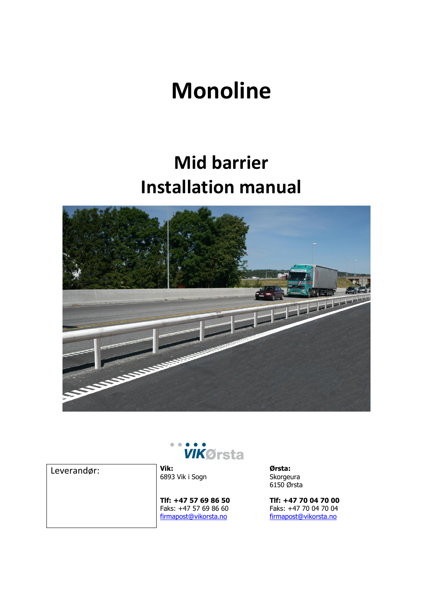# **Monoline**

## **Mid barrier Installation manual**





Leverandør: **Vik:**

6893 Vik i Sogn

**Tlf: +47 57 69 86 50** Faks: +47 57 69 86 60 [firmapost@vikorsta.no](mailto:firmapost@orsta.com)

**Ørsta:** Skorgeura 6150 Ørsta

**Tlf: +47 70 04 70 00** Faks: +47 70 04 70 04 [firmapost@vikorsta.no](mailto:firmapost@orsta.com)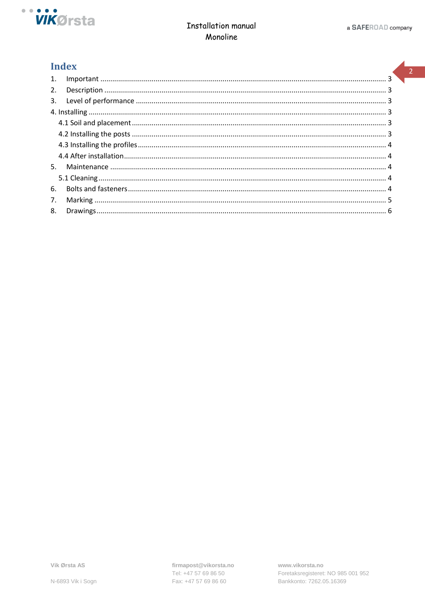

## **Installation manual** Monoline

 $\sqrt{2}$ 

## **Index**

| 1. |  |
|----|--|
| 2. |  |
|    |  |
|    |  |
|    |  |
|    |  |
|    |  |
|    |  |
|    |  |
|    |  |
| 6. |  |
| 7. |  |
| 8. |  |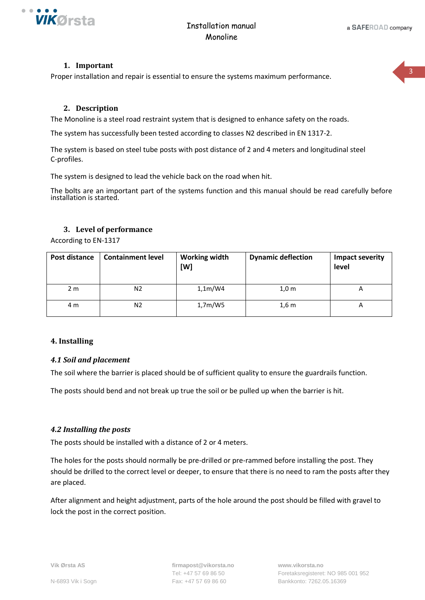

3

## **1. Important**

<span id="page-2-0"></span>Proper installation and repair is essential to ensure the systems maximum performance.

### **2. Description**

<span id="page-2-1"></span>The Monoline is a steel road restraint system that is designed to enhance safety on the roads.

The system has successfully been tested according to classes N2 described in EN 1317-2.

The system is based on steel tube posts with post distance of 2 and 4 meters and longitudinal steel C-profiles.

The system is designed to lead the vehicle back on the road when hit.

The bolts are an important part of the systems function and this manual should be read carefully before installation is started.

#### **3. Level of performance**

<span id="page-2-2"></span>According to EN-1317

| Post distance  | <b>Containment level</b> | <b>Working width</b><br>[W] | <b>Dynamic deflection</b> | <b>Impact severity</b><br>level |
|----------------|--------------------------|-----------------------------|---------------------------|---------------------------------|
| 2 <sub>m</sub> | N2                       | 1,1m/W4                     | $1,0 \text{ m}$           | A                               |
| 4 m            | N2                       | 1,7m/W5                     | 1,6m                      | A                               |

## <span id="page-2-3"></span>**4. Installing**

#### <span id="page-2-4"></span>*4.1 Soil and placement*

The soil where the barrier is placed should be of sufficient quality to ensure the guardrails function.

<span id="page-2-5"></span>The posts should bend and not break up true the soil or be pulled up when the barrier is hit.

#### *4.2 Installing the posts*

The posts should be installed with a distance of 2 or 4 meters.

The holes for the posts should normally be pre-drilled or pre-rammed before installing the post. They should be drilled to the correct level or deeper, to ensure that there is no need to ram the posts after they are placed.

After alignment and height adjustment, parts of the hole around the post should be filled with gravel to lock the post in the correct position.

**Vik Ørsta AS firmapost@vikorsta.no www.vikorsta.no**

Tel: +47 57 69 86 50 Foretaksregisteret: NO 985 001 952 N-6893 Vik i Sogn Fax: +47 57 69 86 60 Bankkonto: 7262.05.16369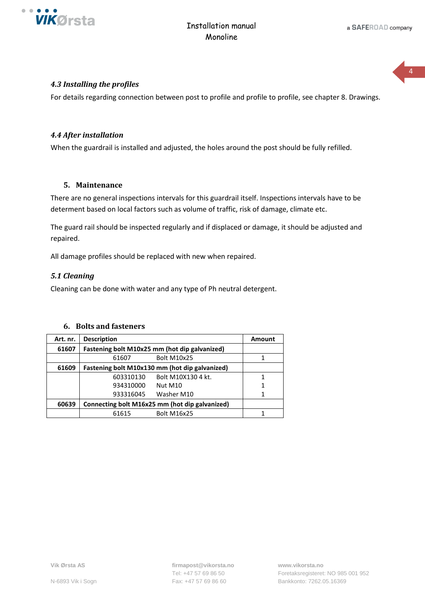

4

## <span id="page-3-0"></span>*4.3 Installing the profiles*

For details regarding connection between post to profile and profile to profile, see chapter 8. Drawings.

## <span id="page-3-1"></span>*4.4 After installation*

When the guardrail is installed and adjusted, the holes around the post should be fully refilled.

## **5. Maintenance**

<span id="page-3-2"></span>There are no general inspections intervals for this guardrail itself. Inspections intervals have to be determent based on local factors such as volume of traffic, risk of damage, climate etc.

The guard rail should be inspected regularly and if displaced or damage, it should be adjusted and repaired.

All damage profiles should be replaced with new when repaired.

## <span id="page-3-3"></span>*5.1 Cleaning*

Cleaning can be done with water and any type of Ph neutral detergent.

<span id="page-3-4"></span>

| Art. nr. | <b>Description</b>                             | Amount              |  |
|----------|------------------------------------------------|---------------------|--|
| 61607    | Fastening bolt M10x25 mm (hot dip galvanized)  |                     |  |
|          | 61607                                          | <b>Bolt M10x25</b>  |  |
| 61609    | Fastening bolt M10x130 mm (hot dip galvanized) |                     |  |
|          | 603310130                                      | Bolt M10X130 4 kt.  |  |
|          | 934310000                                      | Nut M <sub>10</sub> |  |
|          | 933316045                                      | Washer M10          |  |
| 60639    | Connecting bolt M16x25 mm (hot dip galvanized) |                     |  |
|          | 61615                                          | <b>Bolt M16x25</b>  |  |

#### **6. Bolts and fasteners**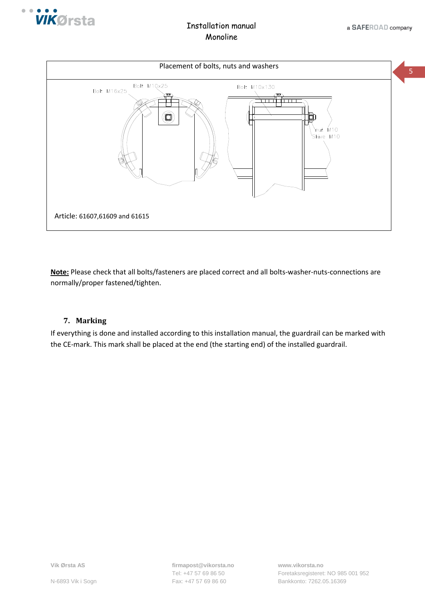

## Installation manual Monoline



**Note:** Please check that all bolts/fasteners are placed correct and all bolts-washer-nuts-connections are normally/proper fastened/tighten.

## **7. Marking**

<span id="page-4-0"></span>If everything is done and installed according to this installation manual, the guardrail can be marked with the CE-mark. This mark shall be placed at the end (the starting end) of the installed guardrail.